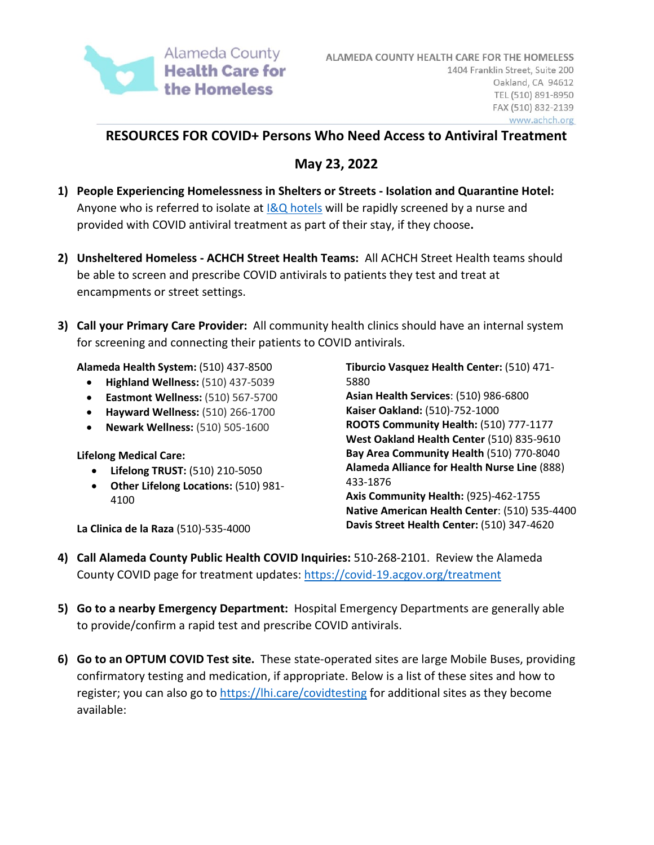

# **RESOURCES FOR COVID+ Persons Who Need Access to Antiviral Treatment**

# **May 23, 2022**

- **1) People Experiencing Homelessness in Shelters or Streets Isolation and Quarantine Hotel:**  Anyone who is referred to isolate at  $18Q$  hotels will be rapidly screened by a nurse and provided with COVID antiviral treatment as part of their stay, if they choose**.**
- **2) Unsheltered Homeless ACHCH Street Health Teams:** All ACHCH Street Health teams should be able to screen and prescribe COVID antivirals to patients they test and treat at encampments or street settings.
- **3) Call your Primary Care Provider:** All community health clinics should have an internal system for screening and connecting their patients to COVID antivirals.

**Alameda Health System:** (510) 437-8500

- **Highland Wellness:** (510) 437-5039
- **Eastmont Wellness:** (510) 567-5700
- **Hayward Wellness:** (510) 266-1700
- **Newark Wellness:** (510) 505-1600

**Lifelong Medical Care:** 

- **Lifelong TRUST:** (510) 210-5050
- **Other Lifelong Locations:** (510) 981- 4100

**La Clinica de la Raza** (510)-535-4000

**Tiburcio Vasquez Health Center:** (510) 471- 5880 **Asian Health Services**: (510) 986-6800 **Kaiser Oakland:** (510)-752-1000 **ROOTS Community Health:** (510) 777-1177 **West Oakland Health Center** (510) 835-9610 **Bay Area Community Health** (510) 770-8040 **Alameda Alliance for Health Nurse Line** (888) 433-1876 **Axis Community Health:** (925)-462-1755 **Native American Health Center**: (510) 535-4400

**Davis Street Health Center:** (510) 347-4620

- **4) Call Alameda County Public Health COVID Inquiries:** 510-268-2101. Review the Alameda County COVID page for treatment updates:<https://covid-19.acgov.org/treatment>
- **5) Go to a nearby Emergency Department:** Hospital Emergency Departments are generally able to provide/confirm a rapid test and prescribe COVID antivirals.
- **6) Go to an OPTUM COVID Test site.** These state-operated sites are large Mobile Buses, providing confirmatory testing and medication, if appropriate. Below is a list of these sites and how to register; you can also go to<https://lhi.care/covidtesting> for additional sites as they become available: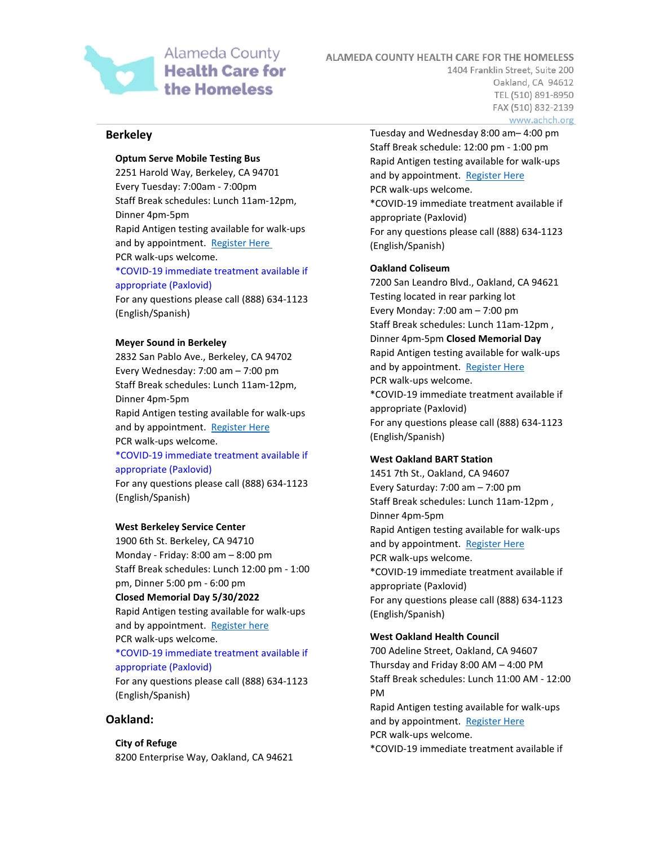

ALAMEDA COUNTY HEALTH CARE FOR THE HOMELESS

1404 Franklin Street, Suite 200 Oakland, CA 94612 TEL (510) 891-8950 FAX (510) 832-2139 www.achch.org

### **Berkeley**

## **Optum Serve Mobile Testing Bus**

2251 Harold Way, Berkeley, CA 94701 Every Tuesday: 7:00am - 7:00pm Staff Break schedules: Lunch 11am-12pm, Dinner 4pm-5pm Rapid Antigen testing available for walk-ups and by appointment. [Register Here](https://lhi.care/covidtesting) PCR walk-ups welcome.

## \*COVID-19 immediate treatment available if appropriate (Paxlovid)

For any questions please call (888) 634-1123 (English/Spanish)

#### **Meyer Sound in Berkeley**

2832 San Pablo Ave., Berkeley, CA 94702 Every Wednesday: 7:00 am – 7:00 pm Staff Break schedules: Lunch 11am-12pm, Dinner 4pm-5pm Rapid Antigen testing available for walk-ups and by appointment. [Register Here](https://lhi.care/covidtesting) PCR walk-ups welcome. \*COVID-19 immediate treatment available if

### appropriate (Paxlovid)

For any questions please call (888) 634-1123 (English/Spanish)

#### **West Berkeley Service Center**

1900 6th St. Berkeley, CA 94710 Monday - Friday: 8:00 am – 8:00 pm Staff Break schedules: Lunch 12:00 pm - 1:00 pm, Dinner 5:00 pm - 6:00 pm **Closed Memorial Day 5/30/2022** Rapid Antigen testing available for walk-ups and by appointment. [Register here](https://lhi.care/covidtesting) PCR walk-ups welcome. \*COVID-19 immediate treatment available if appropriate (Paxlovid) For any questions please call (888) 634-1123 (English/Spanish)

### **Oakland:**

**City of Refuge** 8200 Enterprise Way, Oakland, CA 94621 Tuesday and Wednesday 8:00 am– 4:00 pm Staff Break schedule: 12:00 pm - 1:00 pm Rapid Antigen testing available for walk-ups and by appointment. Register Here PCR walk-ups welcome. \*COVID-19 immediate treatment available if appropriate (Paxlovid) For any questions please call (888) 634-1123 (English/Spanish)

#### **Oakland Coliseum**

7200 San Leandro Blvd., Oakland, CA 94621 Testing located in rear parking lot Every Monday: 7:00 am – 7:00 pm Staff Break schedules: Lunch 11am-12pm , Dinner 4pm-5pm **Closed Memorial Day** Rapid Antigen testing available for walk-ups and by appointment. [Register Here](https://lhi.care/covidtesting)  PCR walk-ups welcome. \*COVID-19 immediate treatment available if appropriate (Paxlovid) For any questions please call (888) 634-1123 (English/Spanish)

#### **West Oakland BART Station**

1451 7th St., Oakland, CA 94607 Every Saturday: 7:00 am – 7:00 pm Staff Break schedules: Lunch 11am-12pm , Dinner 4pm-5pm Rapid Antigen testing available for walk-ups and by appointment. [Register Here](https://lhi.care/covidtesting)  PCR walk-ups welcome. \*COVID-19 immediate treatment available if appropriate (Paxlovid) For any questions please call (888) 634-1123 (English/Spanish)

#### **West Oakland Health Council**

700 Adeline Street, Oakland, CA 94607 Thursday and Friday 8:00 AM – 4:00 PM Staff Break schedules: Lunch 11:00 AM - 12:00 PM Rapid Antigen testing available for walk-ups and by appointment. [Register Here](https://lhi.care/covidtesting)

PCR walk-ups welcome.

\*COVID-19 immediate treatment available if